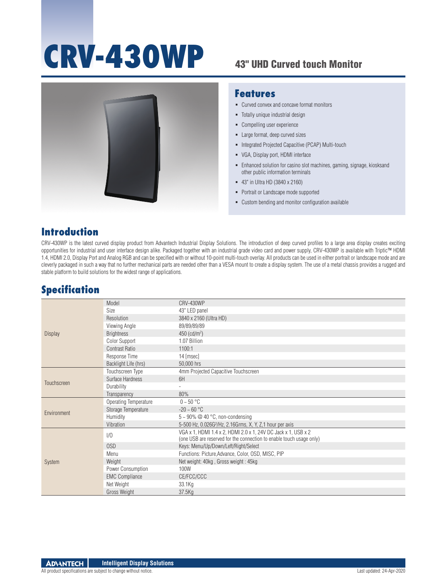# **CRV-430WP**

### 43" UHD Curved touch Monitor



#### **Features**

- Curved convex and concave format monitors
- Totally unique industrial design
- Compelling user experience
- Large format, deep curved sizes
- **Integrated Projected Capacitive (PCAP) Multi-touch**
- VGA, Display port, HDMI interface
- Enhanced solution for casino slot machines, gaming, signage, kiosksand other public information terminals
- 43" in Ultra HD (3840 x 2160)
- Portrait or Landscape mode supported
- Custom bending and monitor configuration available

#### **Introduction**

CRV-430WP is the latest curved display product from Advantech Industrial Display Solutions. The introduction of deep curved profiles to a large area display creates exciting opportunities for industrial and user interface design alike. Packaged together with an industrial grade video card and power supply, CRV-430WP is available with Triptic™ HDMI 1.4, HDMI 2.0, Display Port and Analog RGB and can be specified with or without 10-point multi-touch overlay. All products can be used in either portrait or landscape mode and are cleverly packaged in such a way that no further mechanical parts are needed other than a VESA mount to create a display system. The use of a metal chassis provides a rugged and stable platform to build solutions for the widest range of applications.

#### **Specification**

| <b>Display</b> | Model                        | <b>CRV-430WP</b>                                                                                                                      |
|----------------|------------------------------|---------------------------------------------------------------------------------------------------------------------------------------|
|                | Size                         | 43" LED panel                                                                                                                         |
|                | Resolution                   | 3840 x 2160 (Ultra HD)                                                                                                                |
|                | Viewing Angle                | 89/89/89/89                                                                                                                           |
|                | <b>Brightness</b>            | 450 $(cd/m^2)$                                                                                                                        |
|                | Color Support                | 1.07 Billion                                                                                                                          |
|                | <b>Contrast Ratio</b>        | 1100:1                                                                                                                                |
|                | Response Time                | 14 [msec]                                                                                                                             |
|                | Backlight Life (hrs)         | 50,000 hrs                                                                                                                            |
| Touchscreen    | Touchscreen Type             | 4mm Projected Capacitive Touchscreen                                                                                                  |
|                | Surface Hardness             | 6H                                                                                                                                    |
|                | Durability                   |                                                                                                                                       |
|                | Transparency                 | 80%                                                                                                                                   |
| Environment    | <b>Operating Temperature</b> | $0 \sim 50$ °C                                                                                                                        |
|                | Storage Temperature          | $-20 - 60 °C$                                                                                                                         |
|                | Humidity                     | $5 \sim 90\%$ @ 40 °C, non-condensing                                                                                                 |
|                | Vibration                    | 5-500 Hz, 0.026G <sup>2</sup> /Hz, 2.16Grms, X, Y, Z,1 hour per axis                                                                  |
| <b>System</b>  | 1/0                          | VGA x 1, HDMI 1.4 x 2, HDMI 2.0 x 1, 24V DC Jack x 1, USB x 2<br>(one USB are reserved for the connection to enable touch usage only) |
|                | 0SD                          | Keys: Menu/Up/Down/Left/Right/Select                                                                                                  |
|                | Menu                         | Functions: Picture, Advance, Color, OSD, MISC, PIP                                                                                    |
|                | Weight                       | Net weight: 40kg, Gross weight: 45kg                                                                                                  |
|                | Power Consumption            | 100W                                                                                                                                  |
|                | <b>EMC Compliance</b>        | CE/FCC/CCC                                                                                                                            |
|                | Net Weight                   | 33.1Kg                                                                                                                                |
|                | Gross Weight                 | 37.5Kg                                                                                                                                |